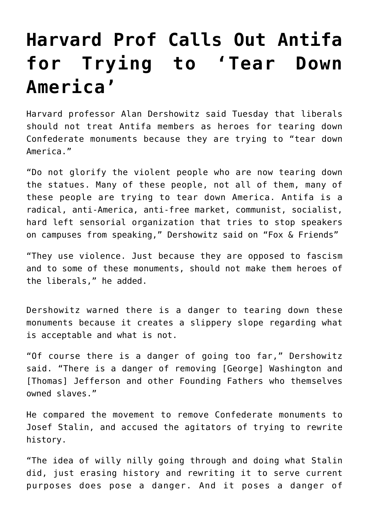## **[Harvard Prof Calls Out Antifa](https://intellectualtakeout.org/2017/08/harvard-prof-calls-out-antifa-for-trying-to-tear-down-america/) [for Trying to 'Tear Down](https://intellectualtakeout.org/2017/08/harvard-prof-calls-out-antifa-for-trying-to-tear-down-america/) [America'](https://intellectualtakeout.org/2017/08/harvard-prof-calls-out-antifa-for-trying-to-tear-down-america/)**

Harvard professor Alan Dershowitz said Tuesday that liberals should not treat Antifa members as heroes for tearing down Confederate monuments because they are trying to "tear down America."

"Do not glorify the violent people who are now tearing down the statues. Many of these people, not all of them, many of these people are trying to tear down America. Antifa is a radical, anti-America, anti-free market, communist, socialist, hard left sensorial organization that tries to stop speakers on campuses from speaking," Dershowitz said on "Fox & Friends"

"They use violence. Just because they are opposed to fascism and to some of these monuments, should not make them heroes of the liberals," he added.

Dershowitz warned there is a danger to tearing down these monuments because it creates a slippery slope regarding what is acceptable and what is not.

"Of course there is a danger of going too far," Dershowitz said. "There is a danger of removing [George] Washington and [Thomas] Jefferson and other Founding Fathers who themselves owned slaves."

He compared the movement to remove Confederate monuments to Josef Stalin, and accused the agitators of trying to rewrite history.

"The idea of willy nilly going through and doing what Stalin did, just erasing history and rewriting it to serve current purposes does pose a danger. And it poses a danger of